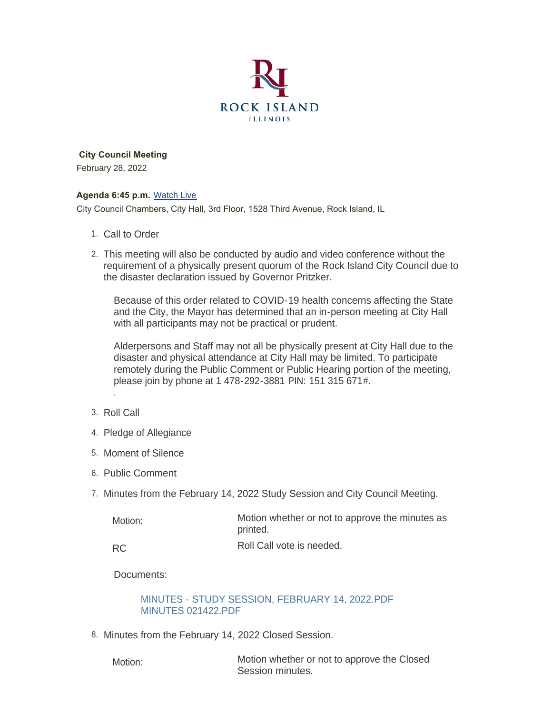

 **City Council Meeting** February 28, 2022

#### **Agenda 6:45 p.m.** [Watch Live](https://www.youtube.com/user/RockIslandIL/live)

City Council Chambers, City Hall, 3rd Floor, 1528 Third Avenue, Rock Island, IL

- 1. Call to Order
- This meeting will also be conducted by audio and video conference without the 2. requirement of a physically present quorum of the Rock Island City Council due to the disaster declaration issued by Governor Pritzker.

Because of this order related to COVID-19 health concerns affecting the State and the City, the Mayor has determined that an in-person meeting at City Hall with all participants may not be practical or prudent.

Alderpersons and Staff may not all be physically present at City Hall due to the disaster and physical attendance at City Hall may be limited. To participate remotely during the Public Comment or Public Hearing portion of the meeting, please join by phone at 1 478-292-3881 PIN: 151 315 671#.

3. Roll Call

.

- 4. Pledge of Allegiance
- 5. Moment of Silence
- 6. Public Comment
- 7. Minutes from the February 14, 2022 Study Session and City Council Meeting.

| Motion: | Motion whether or not to approve the minutes as<br>printed. |
|---------|-------------------------------------------------------------|
| RC.     | Roll Call vote is needed.                                   |

RC

Documents:

[MINUTES - STUDY SESSION, FEBRUARY 14, 2022.PDF](https://www.rigov.org/AgendaCenter/ViewFile/Item/5335?fileID=7488) [MINUTES 021422.PDF](https://www.rigov.org/AgendaCenter/ViewFile/Item/5335?fileID=7487)

8. Minutes from the February 14, 2022 Closed Session.

Motion:

Motion whether or not to approve the Closed Session minutes.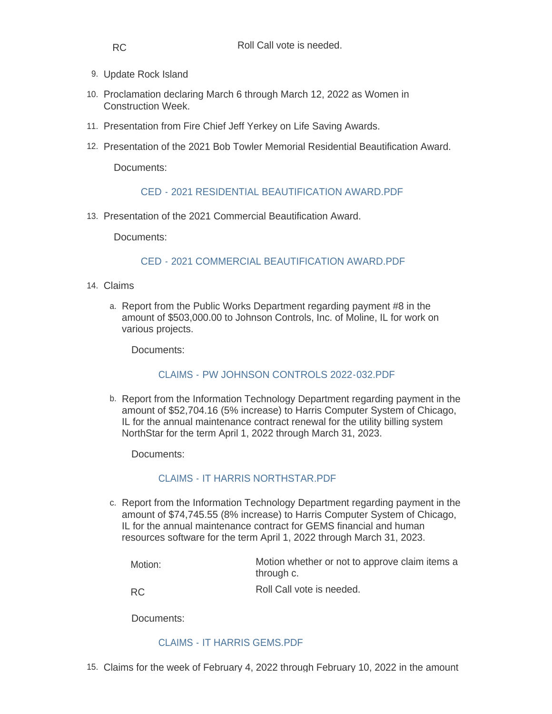RC

- 9. Update Rock Island
- 10. Proclamation declaring March 6 through March 12, 2022 as Women in Construction Week.
- 11. Presentation from Fire Chief Jeff Yerkey on Life Saving Awards.
- 12. Presentation of the 2021 Bob Towler Memorial Residential Beautification Award.

Documents:

# [CED - 2021 RESIDENTIAL BEAUTIFICATION AWARD.PDF](https://www.rigov.org/AgendaCenter/ViewFile/Item/5343?fileID=7459)

13. Presentation of the 2021 Commercial Beautification Award.

Documents:

# [CED - 2021 COMMERCIAL BEAUTIFICATION AWARD.PDF](https://www.rigov.org/AgendaCenter/ViewFile/Item/5342?fileID=7458)

- Claims 14.
	- a. Report from the Public Works Department regarding payment #8 in the amount of \$503,000.00 to Johnson Controls, Inc. of Moline, IL for work on various projects.

Documents:

# [CLAIMS - PW JOHNSON CONTROLS 2022-032.PDF](https://www.rigov.org/AgendaCenter/ViewFile/Item/5353?fileID=7466)

b. Report from the Information Technology Department regarding payment in the amount of \$52,704.16 (5% increase) to Harris Computer System of Chicago, IL for the annual maintenance contract renewal for the utility billing system NorthStar for the term April 1, 2022 through March 31, 2023.

Documents:

# [CLAIMS - IT HARRIS NORTHSTAR.PDF](https://www.rigov.org/AgendaCenter/ViewFile/Item/5359?fileID=7473)

c. Report from the Information Technology Department regarding payment in the amount of \$74,745.55 (8% increase) to Harris Computer System of Chicago, IL for the annual maintenance contract for GEMS financial and human resources software for the term April 1, 2022 through March 31, 2023.

Motion whether or not to approve claim items a through c. Motion:

RC

Roll Call vote is needed.

Documents:

# [CLAIMS - IT HARRIS GEMS.PDF](https://www.rigov.org/AgendaCenter/ViewFile/Item/5360?fileID=7474)

Claims for the week of February 4, 2022 through February 10, 2022 in the amount 15.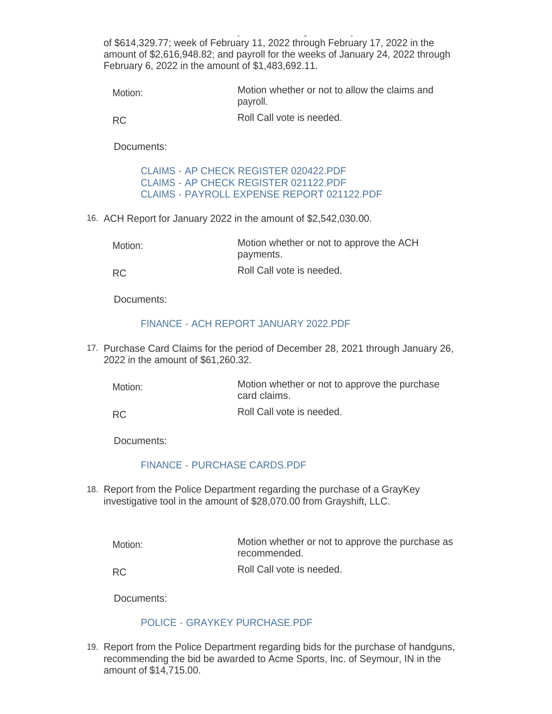Claims for the week of February 4, 2022 through February 10, 2022 in the amount of \$614,329.77; week of February 11, 2022 through February 17, 2022 in the amount of \$2,616,948.82; and payroll for the weeks of January 24, 2022 through February 6, 2022 in the amount of \$1,483,692.11.

Motion whether or not to allow the claims and payroll. Motion:

RC

Roll Call vote is needed.

Documents:

[CLAIMS - AP CHECK REGISTER 020422.PDF](https://www.rigov.org/AgendaCenter/ViewFile/Item/5355?fileID=7468) [CLAIMS - AP CHECK REGISTER 021122.PDF](https://www.rigov.org/AgendaCenter/ViewFile/Item/5355?fileID=7469) [CLAIMS - PAYROLL EXPENSE REPORT 021122.PDF](https://www.rigov.org/AgendaCenter/ViewFile/Item/5355?fileID=7470)

16. ACH Report for January 2022 in the amount of \$2,542,030.00.

Motion whether or not to approve the ACH payments. Motion:

Roll Call vote is needed. RC

Documents:

### [FINANCE - ACH REPORT JANUARY 2022.PDF](https://www.rigov.org/AgendaCenter/ViewFile/Item/5361?fileID=7475)

17. Purchase Card Claims for the period of December 28, 2021 through January 26, 2022 in the amount of \$61,260.32.

Motion whether or not to approve the purchase card claims. Motion:

Roll Call vote is needed. RC

Documents:

#### [FINANCE - PURCHASE CARDS.PDF](https://www.rigov.org/AgendaCenter/ViewFile/Item/5362?fileID=7476)

18. Report from the Police Department regarding the purchase of a GrayKey investigative tool in the amount of \$28,070.00 from Grayshift, LLC.

Motion whether or not to approve the purchase as recommended. Motion:

Roll Call vote is needed. RC

Documents:

# [POLICE - GRAYKEY PURCHASE.PDF](https://www.rigov.org/AgendaCenter/ViewFile/Item/5356?fileID=7471)

19. Report from the Police Department regarding bids for the purchase of handguns, recommending the bid be awarded to Acme Sports, Inc. of Seymour, IN in the amount of \$14,715.00.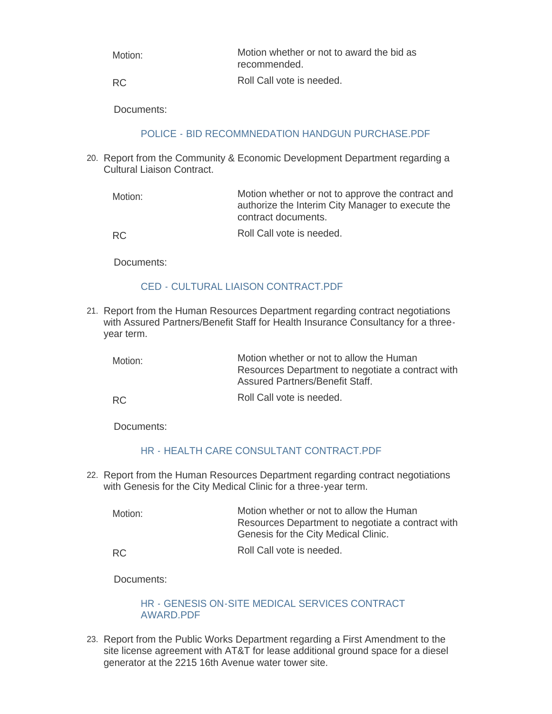| Motion:   | Motion whether or not to award the bid as<br>recommended. |
|-----------|-----------------------------------------------------------|
| <b>RC</b> | Roll Call vote is needed.                                 |

Documents:

# [POLICE - BID RECOMMNEDATION HANDGUN PURCHASE.PDF](https://www.rigov.org/AgendaCenter/ViewFile/Item/5357?fileID=7472)

20. Report from the Community & Economic Development Department regarding a Cultural Liaison Contract.

| Motion: | Motion whether or not to approve the contract and<br>authorize the Interim City Manager to execute the<br>contract documents. |
|---------|-------------------------------------------------------------------------------------------------------------------------------|
| RC.     | Roll Call vote is needed.                                                                                                     |

Documents:

#### [CED - CULTURAL LIAISON CONTRACT.PDF](https://www.rigov.org/AgendaCenter/ViewFile/Item/5346?fileID=7462)

21. Report from the Human Resources Department regarding contract negotiations with Assured Partners/Benefit Staff for Health Insurance Consultancy for a threeyear term.

| Motion: | Motion whether or not to allow the Human<br>Resources Department to negotiate a contract with<br>Assured Partners/Benefit Staff. |
|---------|----------------------------------------------------------------------------------------------------------------------------------|
| RC.     | Roll Call vote is needed.                                                                                                        |

Documents:

# [HR - HEALTH CARE CONSULTANT CONTRACT.PDF](https://www.rigov.org/AgendaCenter/ViewFile/Item/5341?fileID=7484)

22. Report from the Human Resources Department regarding contract negotiations with Genesis for the City Medical Clinic for a three-year term.

| Motion: | Motion whether or not to allow the Human<br>Resources Department to negotiate a contract with<br>Genesis for the City Medical Clinic. |
|---------|---------------------------------------------------------------------------------------------------------------------------------------|
| RC.     | Roll Call vote is needed.                                                                                                             |

Documents:

#### [HR - GENESIS ON-SITE MEDICAL SERVICES CONTRACT](https://www.rigov.org/AgendaCenter/ViewFile/Item/5367?fileID=7486)  AWARD.PDF

23. Report from the Public Works Department regarding a First Amendment to the site license agreement with AT&T for lease additional ground space for a diesel generator at the 2215 16th Avenue water tower site.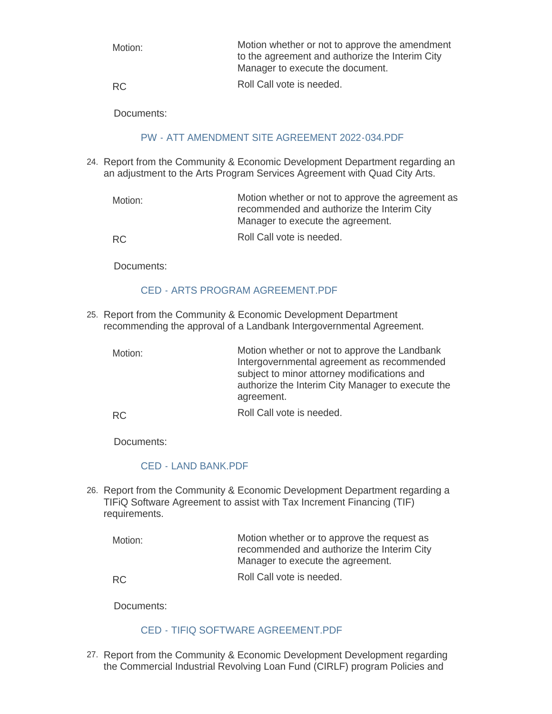| Motion: | Motion whether or not to approve the amendment<br>to the agreement and authorize the Interim City<br>Manager to execute the document. |
|---------|---------------------------------------------------------------------------------------------------------------------------------------|
| RC.     | Roll Call vote is needed.                                                                                                             |

Documents:

### [PW - ATT AMENDMENT SITE AGREEMENT 2022-034.PDF](https://www.rigov.org/AgendaCenter/ViewFile/Item/5354?fileID=7467)

24. Report from the Community & Economic Development Department regarding an an adjustment to the Arts Program Services Agreement with Quad City Arts.

| Motion:   | Motion whether or not to approve the agreement as<br>recommended and authorize the Interim City<br>Manager to execute the agreement. |
|-----------|--------------------------------------------------------------------------------------------------------------------------------------|
| <b>RC</b> | Roll Call vote is needed.                                                                                                            |

Documents:

# [CED - ARTS PROGRAM AGREEMENT.PDF](https://www.rigov.org/AgendaCenter/ViewFile/Item/5345?fileID=7461)

25. Report from the Community & Economic Development Department recommending the approval of a Landbank Intergovernmental Agreement.

| Motion: | Motion whether or not to approve the Landbank<br>Intergovernmental agreement as recommended<br>subject to minor attorney modifications and<br>authorize the Interim City Manager to execute the<br>agreement. |
|---------|---------------------------------------------------------------------------------------------------------------------------------------------------------------------------------------------------------------|
|         |                                                                                                                                                                                                               |

Roll Call vote is needed. RC

Documents:

# [CED - LAND BANK.PDF](https://www.rigov.org/AgendaCenter/ViewFile/Item/5351?fileID=7465)

26. Report from the Community & Economic Development Department regarding a TIFiQ Software Agreement to assist with Tax Increment Financing (TIF) requirements.

| Motion: | Motion whether or to approve the request as<br>recommended and authorize the Interim City<br>Manager to execute the agreement. |
|---------|--------------------------------------------------------------------------------------------------------------------------------|
| -RC     | Roll Call vote is needed.                                                                                                      |

Documents:

# [CED - TIFIQ SOFTWARE AGREEMENT.PDF](https://www.rigov.org/AgendaCenter/ViewFile/Item/5349?fileID=7464)

27. Report from the Community & Economic Development Development regarding the Commercial Industrial Revolving Loan Fund (CIRLF) program Policies and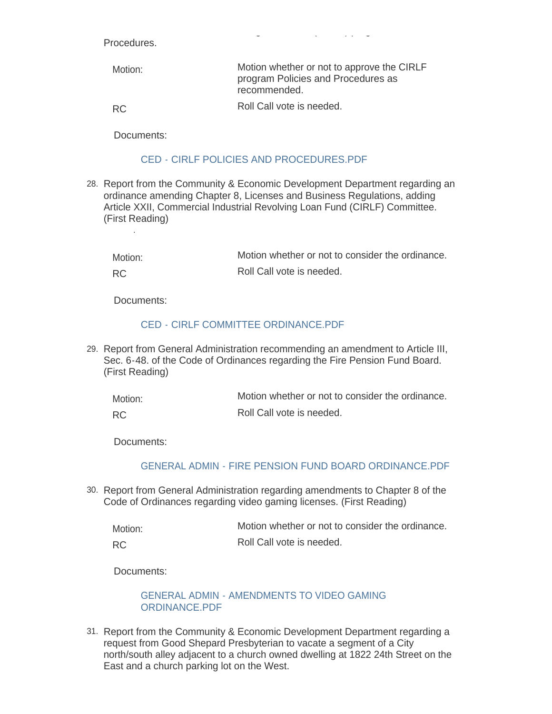Procedures.

| Motion: | Motion whether or not to approve the CIRLF<br>program Policies and Procedures as<br>recommended. |
|---------|--------------------------------------------------------------------------------------------------|
| RC.     | Roll Call vote is needed.                                                                        |

the Commercial Industrial Revolving Loan Fund (CIRLF) program Policies and

Documents:

### [CED - CIRLF POLICIES AND PROCEDURES.PDF](https://www.rigov.org/AgendaCenter/ViewFile/Item/5366?fileID=7480)

28. Report from the Community & Economic Development Department regarding an ordinance amending Chapter 8, Licenses and Business Regulations, adding Article XXII, Commercial Industrial Revolving Loan Fund (CIRLF) Committee. (First Reading)

Motion whether or not to consider the ordinance. Roll Call vote is needed. Motion: RC

Documents:

.

### [CED - CIRLF COMMITTEE ORDINANCE.PDF](https://www.rigov.org/AgendaCenter/ViewFile/Item/5344?fileID=7460)

Report from General Administration recommending an amendment to Article III, 29. Sec. 6-48. of the Code of Ordinances regarding the Fire Pension Fund Board. (First Reading)

Motion whether or not to consider the ordinance. Roll Call vote is needed. Motion: RC

Documents:

# [GENERAL ADMIN - FIRE PENSION FUND BOARD ORDINANCE.PDF](https://www.rigov.org/AgendaCenter/ViewFile/Item/5352?fileID=7478)

Report from General Administration regarding amendments to Chapter 8 of the 30. Code of Ordinances regarding video gaming licenses. (First Reading)

| Motion:   | Motion whether or not to consider the ordinance. |
|-----------|--------------------------------------------------|
| <b>RC</b> | Roll Call vote is needed.                        |

Documents:

### [GENERAL ADMIN - AMENDMENTS TO VIDEO GAMING](https://www.rigov.org/AgendaCenter/ViewFile/Item/5350?fileID=7483)  ORDINANCE.PDF

31. Report from the Community & Economic Development Department regarding a request from Good Shepard Presbyterian to vacate a segment of a City north/south alley adjacent to a church owned dwelling at 1822 24th Street on the East and a church parking lot on the West.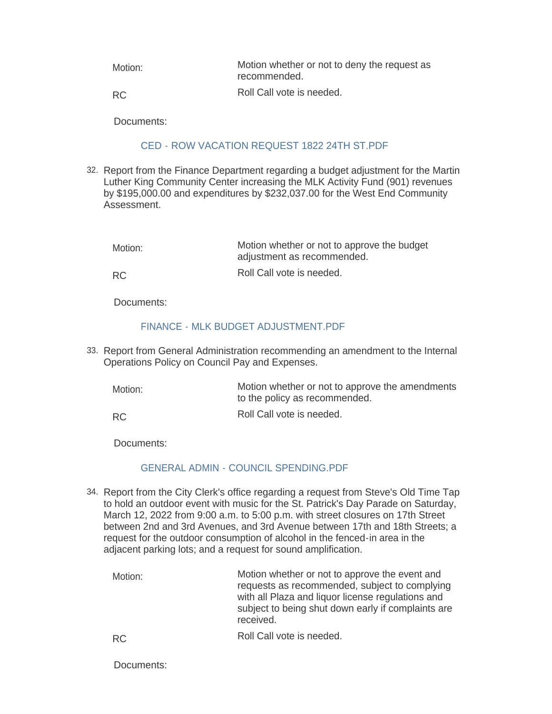| Motion:   | Motion whether or not to deny the request as<br>recommended. |
|-----------|--------------------------------------------------------------|
| <b>RC</b> | Roll Call vote is needed.                                    |

Documents:

### [CED - ROW VACATION REQUEST 1822 24TH ST.PDF](https://www.rigov.org/AgendaCenter/ViewFile/Item/5348?fileID=7463)

32. Report from the Finance Department regarding a budget adjustment for the Martin Luther King Community Center increasing the MLK Activity Fund (901) revenues by \$195,000.00 and expenditures by \$232,037.00 for the West End Community Assessment.

| Motion: | Motion whether or not to approve the budget<br>adjustment as recommended. |
|---------|---------------------------------------------------------------------------|
| D C     | Roll Call vote is needed.                                                 |

Documents:

RC

### [FINANCE - MLK BUDGET ADJUSTMENT.PDF](https://www.rigov.org/AgendaCenter/ViewFile/Item/5363?fileID=7485)

Report from General Administration recommending an amendment to the Internal 33. Operations Policy on Council Pay and Expenses.

| Motion: | Motion whether or not to approve the amendments<br>to the policy as recommended. |
|---------|----------------------------------------------------------------------------------|
| RC      | Roll Call vote is needed.                                                        |

Documents:

#### [GENERAL ADMIN - COUNCIL SPENDING.PDF](https://www.rigov.org/AgendaCenter/ViewFile/Item/5358?fileID=7482)

- 34. Report from the City Clerk's office regarding a request from Steve's Old Time Tap to hold an outdoor event with music for the St. Patrick's Day Parade on Saturday, March 12, 2022 from 9:00 a.m. to 5:00 p.m. with street closures on 17th Street between 2nd and 3rd Avenues, and 3rd Avenue between 17th and 18th Streets; a request for the outdoor consumption of alcohol in the fenced-in area in the adjacent parking lots; and a request for sound amplification.
	- Motion whether or not to approve the event and requests as recommended, subject to complying with all Plaza and liquor license regulations and subject to being shut down early if complaints are received. Motion:
	- Roll Call vote is needed. RC

Documents: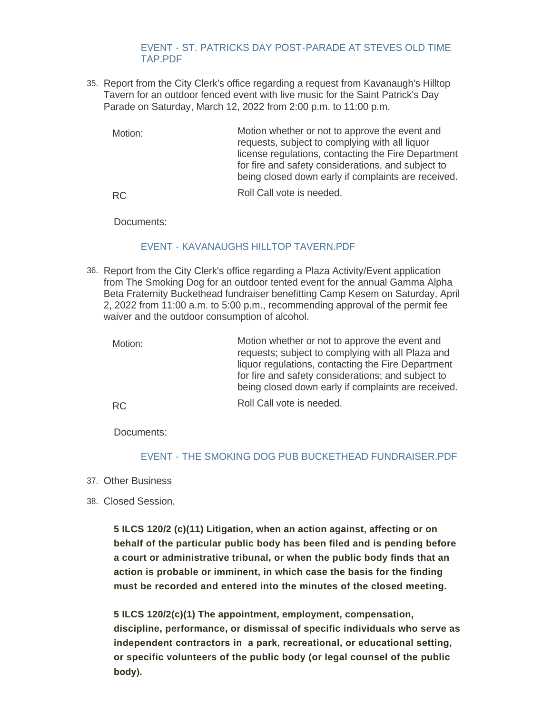### [EVENT - ST. PATRICKS DAY POST-PARADE AT STEVES OLD TIME](https://www.rigov.org/AgendaCenter/ViewFile/Item/5319?fileID=7455)  TAP.PDF

- 35. Report from the City Clerk's office regarding a request from Kavanaugh's Hilltop Tavern for an outdoor fenced event with live music for the Saint Patrick's Day Parade on Saturday, March 12, 2022 from 2:00 p.m. to 11:00 p.m.
	- Motion whether or not to approve the event and requests, subject to complying with all liquor license regulations, contacting the Fire Department for fire and safety considerations, and subject to being closed down early if complaints are received. Motion:

Roll Call vote is needed. RC

Documents:

# [EVENT - KAVANAUGHS HILLTOP TAVERN.PDF](https://www.rigov.org/AgendaCenter/ViewFile/Item/5321?fileID=7456)

- 36. Report from the City Clerk's office regarding a Plaza Activity/Event application from The Smoking Dog for an outdoor tented event for the annual Gamma Alpha Beta Fraternity Buckethead fundraiser benefitting Camp Kesem on Saturday, April 2, 2022 from 11:00 a.m. to 5:00 p.m., recommending approval of the permit fee waiver and the outdoor consumption of alcohol.
	- Motion whether or not to approve the event and requests; subject to complying with all Plaza and liquor regulations, contacting the Fire Department for fire and safety considerations; and subject to being closed down early if complaints are received. Roll Call vote is needed. Motion: RC

Documents:

# [EVENT - THE SMOKING DOG PUB BUCKETHEAD FUNDRAISER.PDF](https://www.rigov.org/AgendaCenter/ViewFile/Item/5365?fileID=7479)

- Other Business 37.
- Closed Session. 38.

**5 ILCS 120/2 (c)(11) Litigation, when an action against, affecting or on behalf of the particular public body has been filed and is pending before a court or administrative tribunal, or when the public body finds that an action is probable or imminent, in which case the basis for the finding must be recorded and entered into the minutes of the closed meeting.**

**5 ILCS 120/2(c)(1) The appointment, employment, compensation, discipline, performance, or dismissal of specific individuals who serve as independent contractors in a park, recreational, or educational setting, or specific volunteers of the public body (or legal counsel of the public body).**